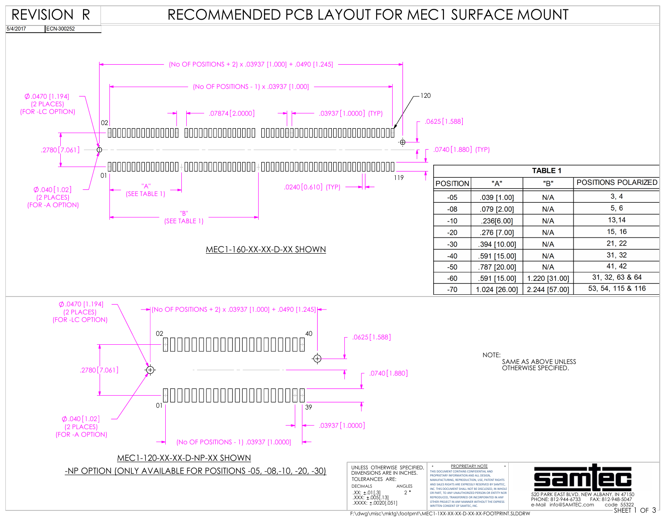



F:\dwg\misc\mktg\footprnt\MEC1-1XX-XX-XX-D-XX-XX-FOOTPRINT.SLDDRW

.XXXX: ±.0020[.051]

OTHER PROJECT IN ANY MANNER WITHOUT THE EXPRESS WRITTEN CONSENT OF SAMTEC, INC.

 $-40$ 

 $-50$ 

591 [15.00]

.787 [20.00]

 $N/A$ 

 $N/A$ 

41, 42

SHEET 1 OF 3 PHONE: 812-944-6733 FAX: 812-948-5047

e-Mail info@SAMTEC.com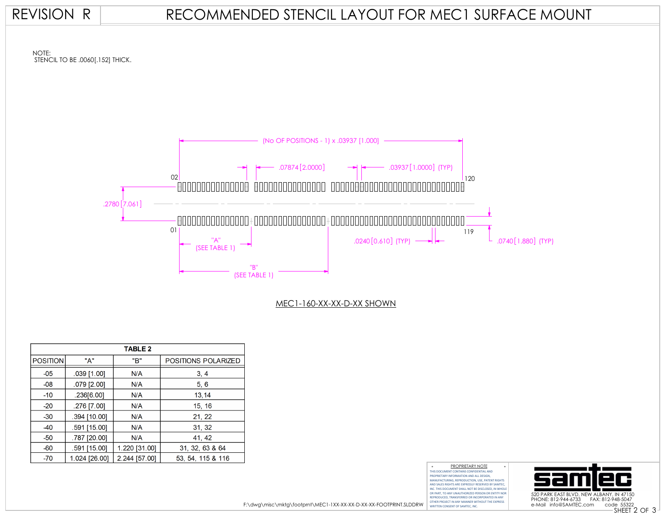### REVISION R

## RECOMMENDED STENCIL LAYOUT FOR MEC1 SURFACE MOUNT



| <b>TABLE 2</b>  |                |               |                     |  |  |  |
|-----------------|----------------|---------------|---------------------|--|--|--|
| <b>POSITION</b> | "A"            | "B"           | POSITIONS POLARIZED |  |  |  |
| $-05$           | $.039$ [1.00]  | N/A           | 3, 4                |  |  |  |
| $-08$           | .079 [2.00]    | N/A           | 5, 6                |  |  |  |
| $-10$           | .236[6.00]     | N/A           | 13,14               |  |  |  |
| $-20$           | .276 [7.00]    | N/A           | 15, 16              |  |  |  |
| $-30$           | $.394$ [10.00] | N/A           | 21, 22              |  |  |  |
| $-40$           | .591 [15.00]   | N/A           | 31, 32              |  |  |  |
| $-50$           | .787 [20.00]   | N/A           | 41, 42              |  |  |  |
| $-60$           | .591 [15.00]   | 1.220 [31.00] | 31, 32, 63 & 64     |  |  |  |
| $-70$           | 1.024 [26.00]  | 2.244 [57.00] | 53, 54, 115 & 116   |  |  |  |

THIS DOCUMENT CONTAINS CONFIDENTIAL AND PROPRIETARY INFORMATION AND ALL DESIGN, MANUFACTURING, REPRODUCTION, USE, PATENT RIGHTS AND SALES RIGHTS ARE EXPRESSLY RESERVED BY SAMTEC, INC. THIS DOCUMENT SHALL NOT BE DISCLOSED, IN WHOLE OR PART, TO ANY UNAUTHORIZED PERSON OR ENTITY NOR REPRODUCED, TRANSFERRED OR INCORPORATED IN ANY OTHER PROJECT IN ANY MANNER WITHOUT THE EXPRESS WRITTEN CONSENT OF SAMTEC, INC. PROPRIETARY NOTE